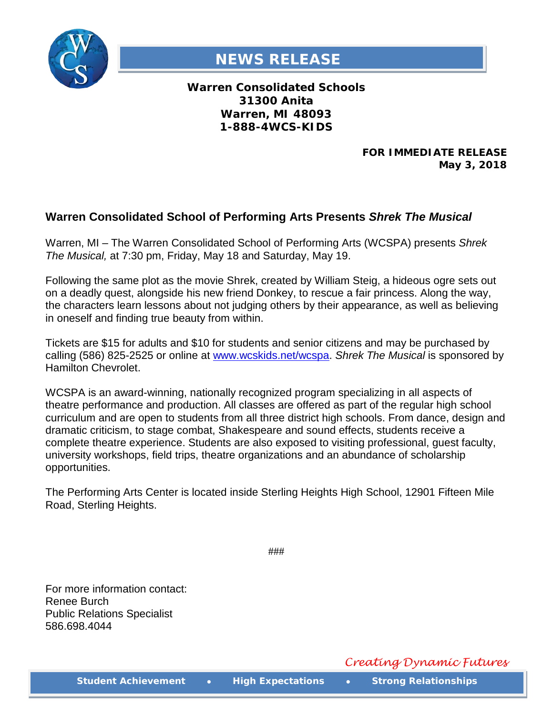

## **NEWS RELEASE**

**Warren Consolidated Schools 31300 Anita Warren, MI 48093 1-888-4WCS-KIDS**

> **FOR IMMEDIATE RELEASE May 3, 2018**

## **Warren Consolidated School of Performing Arts Presents** *Shrek The Musical*

Warren, MI – The Warren Consolidated School of Performing Arts (WCSPA) presents *Shrek The Musical,* at 7:30 pm, Friday, May 18 and Saturday, May 19.

Following the same plot as the movie Shrek, created by William Steig, a hideous ogre sets out on a deadly quest, alongside his new friend Donkey, to rescue a fair princess. Along the way, the characters learn lessons about not judging others by their appearance, as well as believing in oneself and finding true beauty from within.

Tickets are \$15 for adults and \$10 for students and senior citizens and may be purchased by calling (586) 825-2525 or online at [www.wcskids.net/wcspa.](http://www.wcskids.net/wcspa) *Shrek The Musical* is sponsored by Hamilton Chevrolet.

WCSPA is an award-winning, nationally recognized program specializing in all aspects of theatre performance and production. All classes are offered as part of the regular high school curriculum and are open to students from all three district high schools. From dance, design and dramatic criticism, to stage combat, Shakespeare and sound effects, students receive a complete theatre experience. Students are also exposed to visiting professional, guest faculty, university workshops, field trips, theatre organizations and an abundance of scholarship opportunities.

The Performing Arts Center is located inside Sterling Heights High School, 12901 Fifteen Mile Road, Sterling Heights.

For more information contact: Renee Burch Public Relations Specialist 586.698.4044

###

*Creating Dynamic Futures*